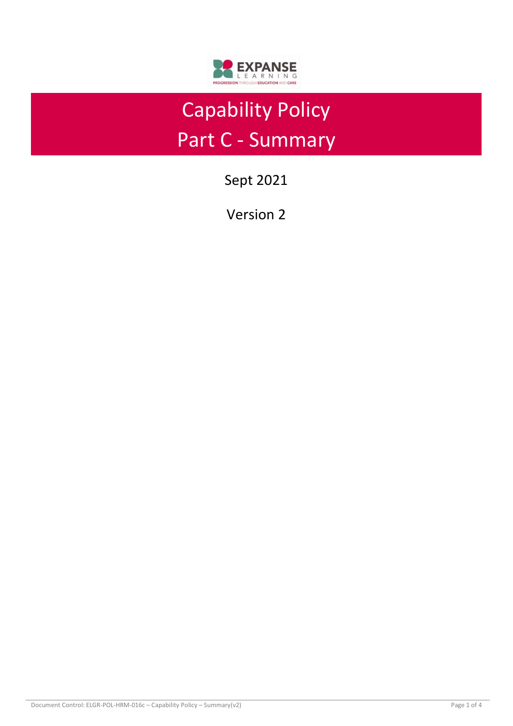

# Capability Policy Part C - Summary

Sept 2021

Version 2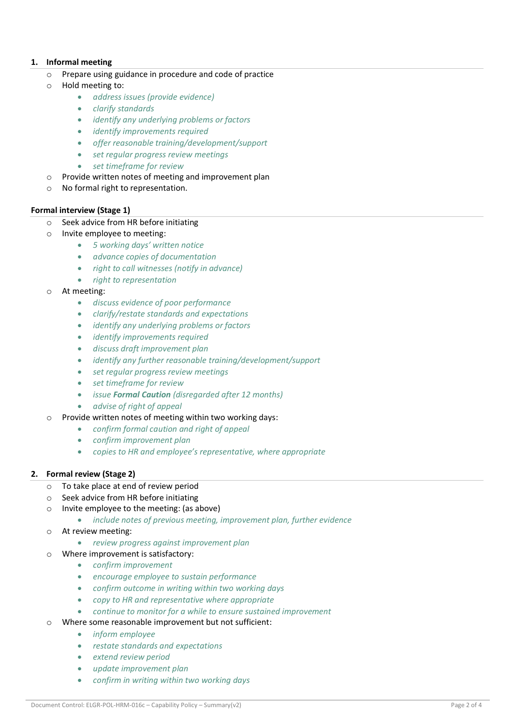## **1. Informal meeting**

- o Prepare using guidance in procedure and code of practice
- o Hold meeting to:
	- *address issues (provide evidence)*
	- *clarify standards*
	- *identify any underlying problems or factors*
	- *identify improvements required*
	- *offer reasonable training/development/support*
	- *set regular progress review meetings*
	- *set timeframe for review*
- $\circ$  Provide written notes of meeting and improvement plan
- o No formal right to representation.

#### **Formal interview (Stage 1)**

- o Seek advice from HR before initiating
- o Invite employee to meeting:
	- *5 working days' written notice*
	- *advance copies of documentation*
	- *right to call witnesses (notify in advance)*
	- *right to representation*
- o At meeting:
	- *discuss evidence of poor performance*
	- *clarify/restate standards and expectations*
	- *identify any underlying problems or factors*
	- *identify improvements required*
	- *discuss draft improvement plan*
	- *identify any further reasonable training/development/support*
	- *set regular progress review meetings*
	- *set timeframe for review*
	- *issue Formal Caution (disregarded after 12 months)*
	- *advise of right of appeal*
- o Provide written notes of meeting within two working days:
	- *confirm formal caution and right of appeal*
	- *confirm improvement plan*
	- *copies to HR and employee's representative, where appropriate*

## **2. Formal review (Stage 2)**

- o To take place at end of review period
- o Seek advice from HR before initiating
- o Invite employee to the meeting: (as above)
	- *include notes of previous meeting, improvement plan, further evidence*
- o At review meeting:
	- *review progress against improvement plan*
- o Where improvement is satisfactory:
	- *confirm improvement*
	- *encourage employee to sustain performance*
	- *confirm outcome in writing within two working days*
	- *copy to HR and representative where appropriate*
	- *continue to monitor for a while to ensure sustained improvement*
- o Where some reasonable improvement but not sufficient:
	- *inform employee*
	- *restate standards and expectations*
	- *extend review period*
	- *update improvement plan*
	- *confirm in writing within two working days*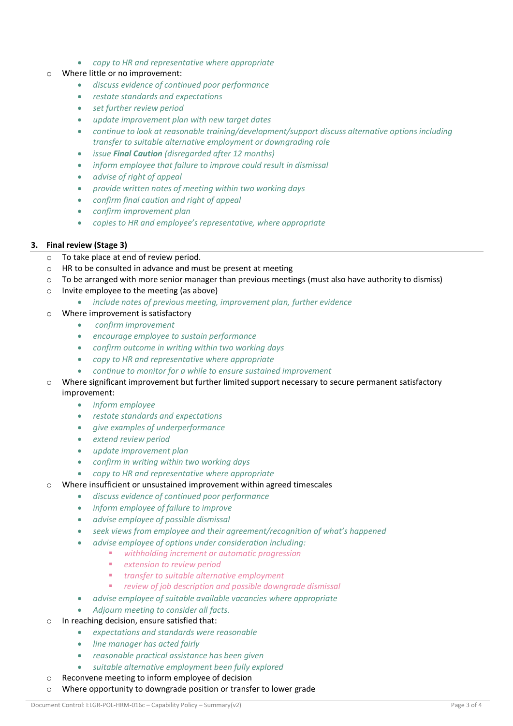- *copy to HR and representative where appropriate*
- o Where little or no improvement:
	- *discuss evidence of continued poor performance*
	- *restate standards and expectations*
	- *set further review period*
	- *update improvement plan with new target dates*
	- *continue to look at reasonable training/development/support discuss alternative options including transfer to suitable alternative employment or downgrading role*
	- *issue Final Caution (disregarded after 12 months)*
	- *inform employee that failure to improve could result in dismissal*
	- *advise of right of appeal*
	- *provide written notes of meeting within two working days*
	- *confirm final caution and right of appeal*
	- *confirm improvement plan*
	- *copies to HR and employee's representative, where appropriate*

#### **3. Final review (Stage 3)**

- o To take place at end of review period.
- o HR to be consulted in advance and must be present at meeting
- o To be arranged with more senior manager than previous meetings (must also have authority to dismiss)
- o Invite employee to the meeting (as above)
	- *include notes of previous meeting, improvement plan, further evidence*
- o Where improvement is satisfactory
	- *confirm improvement*
	- *encourage employee to sustain performance*
	- *confirm outcome in writing within two working days*
	- *copy to HR and representative where appropriate*
	- *continue to monitor for a while to ensure sustained improvement*
- o Where significant improvement but further limited support necessary to secure permanent satisfactory improvement:
	- *inform employee*
	- *restate standards and expectations*
	- *give examples of underperformance*
	- *extend review period*
	- *update improvement plan*
	- *confirm in writing within two working days*
	- *copy to HR and representative where appropriate*
- Where insufficient or unsustained improvement within agreed timescales
	- *discuss evidence of continued poor performance*
	- *inform employee of failure to improve*
	- *advise employee of possible dismissal*
	- *seek views from employee and their agreement/recognition of what's happened*
	- *advise employee of options under consideration including:* 
		- *withholding increment or automatic progression* 
			- *extension to review period*
			- *transfer to suitable alternative employment*
		- *review of job description and possible downgrade dismissal*
	- *advise employee of suitable available vacancies where appropriate*
	- *Adjourn meeting to consider all facts.*
- o In reaching decision, ensure satisfied that:
	- *expectations and standards were reasonable*
		- *line manager has acted fairly*
		- *reasonable practical assistance has been given*
	- *suitable alternative employment been fully explored*
- o Reconvene meeting to inform employee of decision
- o Where opportunity to downgrade position or transfer to lower grade